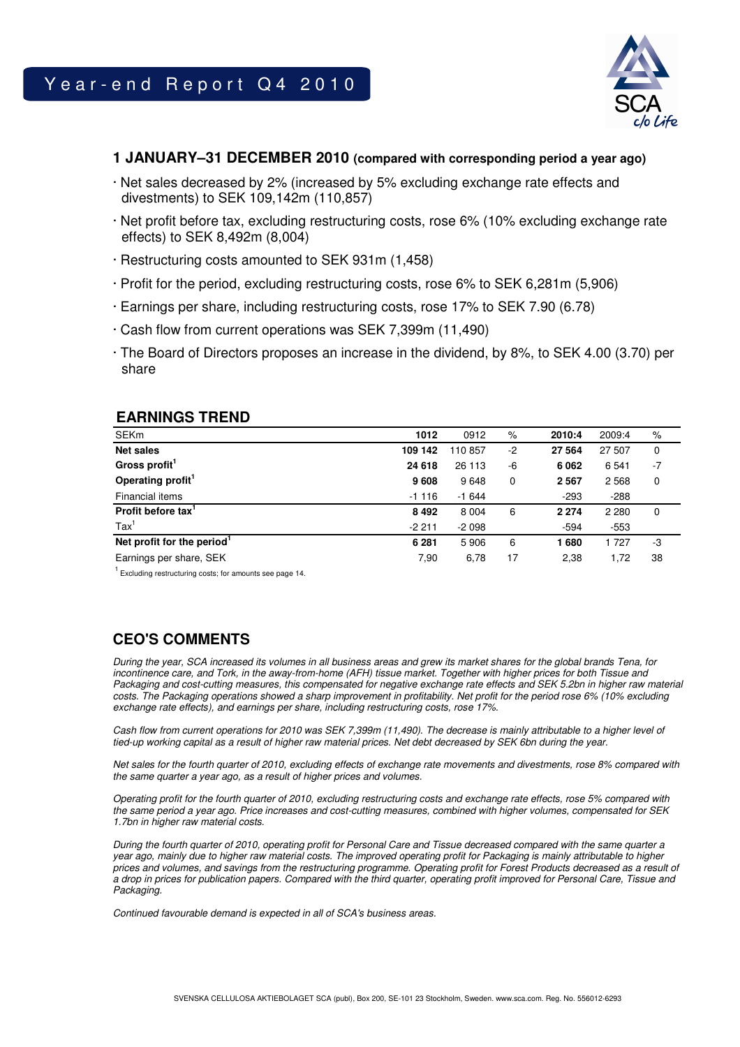

### **1 JANUARY–31 DECEMBER 2010 (compared with corresponding period a year ago)**

- · Net sales decreased by 2% (increased by 5% excluding exchange rate effects and divestments) to SEK 109,142m (110,857)
- · Net profit before tax, excluding restructuring costs, rose 6% (10% excluding exchange rate effects) to SEK 8,492m (8,004)
- · Restructuring costs amounted to SEK 931m (1,458)
- · Profit for the period, excluding restructuring costs, rose 6% to SEK 6,281m (5,906)
- · Earnings per share, including restructuring costs, rose 17% to SEK 7.90 (6.78)
- · Cash flow from current operations was SEK 7,399m (11,490)
- · The Board of Directors proposes an increase in the dividend, by 8%, to SEK 4.00 (3.70) per share

### **EARNINGS TREND**

| <b>SEKm</b>                   | 1012    | 0912    | $\%$ | 2010:4  | 2009:4  | %    |
|-------------------------------|---------|---------|------|---------|---------|------|
| <b>Net sales</b>              | 109 142 | 110857  | -2   | 27 564  | 27 507  | 0    |
| Gross profit <sup>1</sup>     | 24 618  | 26 113  | -6   | 6 0 62  | 6 5 4 1 | $-7$ |
| Operating profit <sup>1</sup> | 9608    | 9648    | 0    | 2 5 6 7 | 2 5 6 8 | 0    |
| Financial items               | $-1116$ | $-1644$ |      | $-293$  | $-288$  |      |
| Profit before tax'            | 8 4 9 2 | 8 0 0 4 | 6    | 2 2 7 4 | 2 2 8 0 | 0    |
| $\text{Tax}^1$                | $-2211$ | $-2098$ |      | $-594$  | $-553$  |      |
| Net profit for the period     | 6 2 8 1 | 5906    | 6    | l 680   | 1 7 2 7 | -3   |
| Earnings per share, SEK       | 7,90    | 6,78    | 17   | 2,38    | 1,72    | 38   |

 $1$  Excluding restructuring costs; for amounts see page 14.

# **CEO'S COMMENTS**

During the year, SCA increased its volumes in all business areas and grew its market shares for the global brands Tena, for incontinence care, and Tork, in the away-from-home (AFH) tissue market. Together with higher prices for both Tissue and Packaging and cost-cutting measures, this compensated for negative exchange rate effects and SEK 5.2bn in higher raw material costs. The Packaging operations showed a sharp improvement in profitability. Net profit for the period rose 6% (10% excluding exchange rate effects), and earnings per share, including restructuring costs, rose 17%.

Cash flow from current operations for 2010 was SEK 7,399m (11,490). The decrease is mainly attributable to a higher level of tied-up working capital as a result of higher raw material prices. Net debt decreased by SEK 6bn during the year.

Net sales for the fourth quarter of 2010, excluding effects of exchange rate movements and divestments, rose 8% compared with the same quarter a year ago, as a result of higher prices and volumes.

Operating profit for the fourth quarter of 2010, excluding restructuring costs and exchange rate effects, rose 5% compared with the same period a year ago. Price increases and cost-cutting measures, combined with higher volumes, compensated for SEK 1.7bn in higher raw material costs.

During the fourth quarter of 2010, operating profit for Personal Care and Tissue decreased compared with the same quarter a year ago, mainly due to higher raw material costs. The improved operating profit for Packaging is mainly attributable to higher prices and volumes, and savings from the restructuring programme. Operating profit for Forest Products decreased as a result of a drop in prices for publication papers. Compared with the third quarter, operating profit improved for Personal Care, Tissue and Packaging.

Continued favourable demand is expected in all of SCA's business areas.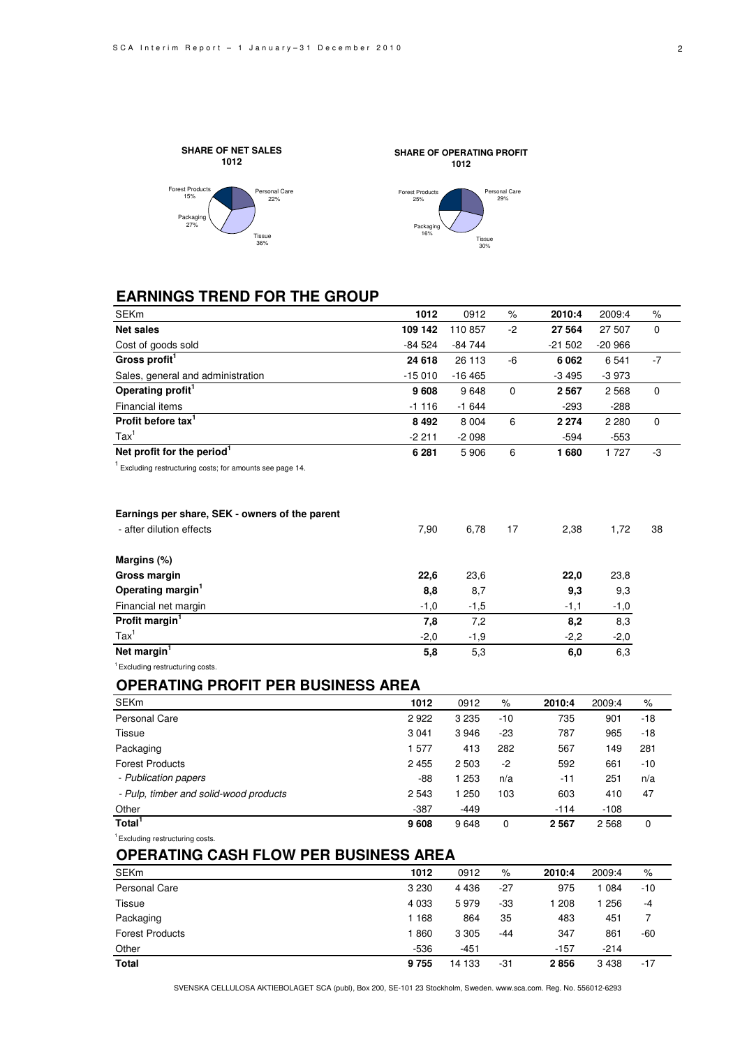



# **EARNINGS TREND FOR THE GROUP**

| <b>SEKm</b>                                             | 1012     | 0912     | %           | 2010:4   | 2009:4   | $\%$        |
|---------------------------------------------------------|----------|----------|-------------|----------|----------|-------------|
| <b>Net sales</b>                                        | 109 142  | 110857   | $-2$        | 27 564   | 27 507   | $\Omega$    |
| Cost of goods sold                                      | $-84524$ | $-84744$ |             | $-21502$ | $-20966$ |             |
| Gross profit <sup>1</sup>                               | 24 618   | 26 113   | -6          | 6 0 62   | 6 5 4 1  | $-7$        |
| Sales, general and administration                       | $-15010$ | $-16465$ |             | $-3495$  | $-3973$  |             |
| Operating profit <sup>1</sup>                           | 9608     | 9648     | 0           | 2 567    | 2 5 6 8  | 0           |
| Financial items                                         | $-1116$  | $-1644$  |             | $-293$   | $-288$   |             |
| Profit before tax <sup>1</sup>                          | 8 4 9 2  | 8 0 0 4  | 6           | 2 2 7 4  | 2 2 8 0  | $\Omega$    |
| $\text{Tax}^1$                                          | $-2211$  | $-2098$  |             | $-594$   | $-553$   |             |
| Net profit for the period <sup>1</sup>                  | 6 2 8 1  | 5906     | 6           | 1680     | 1 727    | -3          |
| Excluding restructuring costs; for amounts see page 14. |          |          |             |          |          |             |
| Earnings per share, SEK - owners of the parent          |          |          |             |          |          |             |
| - after dilution effects                                | 7,90     | 6,78     | 17          | 2,38     | 1,72     | 38          |
| Margins (%)                                             |          |          |             |          |          |             |
| Gross margin                                            | 22,6     | 23,6     |             | 22,0     | 23,8     |             |
| Operating margin <sup>1</sup>                           | 8,8      | 8,7      |             | 9,3      | 9,3      |             |
| Financial net margin                                    | $-1,0$   | $-1,5$   |             | $-1,1$   | $-1,0$   |             |
| Profit margin <sup>1</sup>                              | 7,8      | 7,2      |             | 8,2      | 8,3      |             |
| $\text{Tax}^1$                                          | $-2,0$   | $-1,9$   |             | $-2,2$   | $-2,0$   |             |
| Net margin <sup>1</sup>                                 | 5.8      | 5,3      |             | 6,0      | 6,3      |             |
| <sup>1</sup> Excluding restructuring costs.             |          |          |             |          |          |             |
| <b>OPERATING PROFIT PER BUSINESS AREA</b>               |          |          |             |          |          |             |
| <b>SEKm</b>                                             | 1012     | 0912     | $\%$        | 2010:4   | 2009:4   | $\%$        |
| <b>Personal Care</b>                                    | 2922     | 3 2 3 5  | $-10$       | 735      | 901      | $-18$       |
| Tissue                                                  | 3 0 4 1  | 3946     | $-23$       | 787      | 965      | $-18$       |
| Packaging                                               | 1577     | 413      | 282         | 567      | 149      | 281         |
| <b>Forest Products</b>                                  | 2 4 5 5  | 2 5 0 3  | $-2$        | 592      | 661      | $-10$       |
| - Publication papers                                    | $-88$    | 1 2 5 3  | n/a         | $-11$    | 251      | n/a         |
| - Pulp, timber and solid-wood products                  | 2 5 4 3  | 1 250    | 103         | 603      | 410      | 47          |
| Other                                                   | $-387$   | $-449$   |             | $-114$   | $-108$   |             |
| Total <sup>1</sup>                                      | 9608     | 9648     | $\mathbf 0$ | 2 5 6 7  | 2568     | $\mathbf 0$ |
| Excluding restructuring costs.                          |          |          |             |          |          |             |

**1012**

Tissue 30%

Personal Care 29%

# **OPERATING CASH FLOW PER BUSINESS AREA**

| <b>SEKm</b>            | 1012    | 0912    | %   | 2010:4 | 2009:4 | %     |
|------------------------|---------|---------|-----|--------|--------|-------|
| Personal Care          | 3 2 3 0 | 4 4 3 6 | -27 | 975    | 084    | $-10$ |
| Tissue                 | 4 0 3 3 | 5979    | -33 | 208    | 256    | -4    |
| Packaging              | 168     | 864     | 35  | 483    | 451    |       |
| <b>Forest Products</b> | 860     | 3 3 0 5 | -44 | 347    | 861    | $-60$ |
| Other                  | $-536$  | $-451$  |     | $-157$ | $-214$ |       |
| <b>Total</b>           | 9755    | 14 133  | -31 | 2856   | 3438   | $-17$ |

SVENSKA CELLULOSA AKTIEBOLAGET SCA (publ), Box 200, SE-101 23 Stockholm, Sweden. www.sca.com. Reg. No. 556012-6293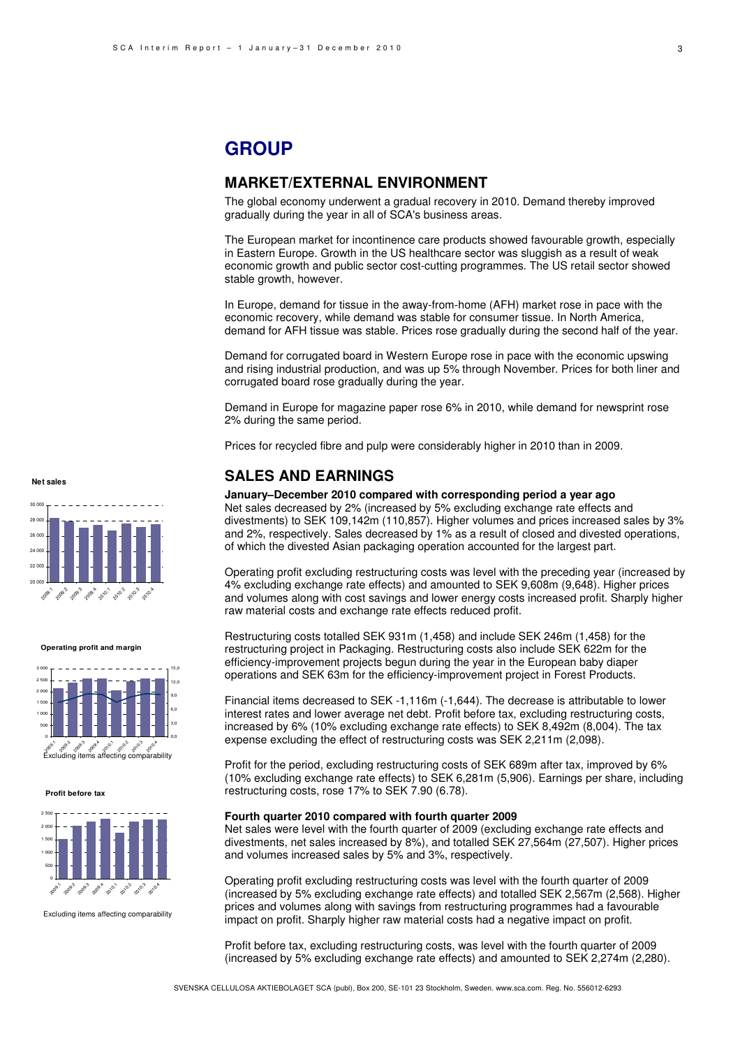# **GROUP**

### **MARKET/EXTERNAL ENVIRONMENT**

The global economy underwent a gradual recovery in 2010. Demand thereby improved gradually during the year in all of SCA's business areas.

The European market for incontinence care products showed favourable growth, especially in Eastern Europe. Growth in the US healthcare sector was sluggish as a result of weak economic growth and public sector cost-cutting programmes. The US retail sector showed stable growth, however.

In Europe, demand for tissue in the away-from-home (AFH) market rose in pace with the economic recovery, while demand was stable for consumer tissue. In North America, demand for AFH tissue was stable. Prices rose gradually during the second half of the year.

Demand for corrugated board in Western Europe rose in pace with the economic upswing and rising industrial production, and was up 5% through November. Prices for both liner and corrugated board rose gradually during the year.

Demand in Europe for magazine paper rose 6% in 2010, while demand for newsprint rose 2% during the same period.

Prices for recycled fibre and pulp were considerably higher in 2010 than in 2009.

### **SALES AND EARNINGS**

#### **January–December 2010 compared with corresponding period a year ago**

Net sales decreased by 2% (increased by 5% excluding exchange rate effects and divestments) to SEK 109,142m (110,857). Higher volumes and prices increased sales by 3% and 2%, respectively. Sales decreased by 1% as a result of closed and divested operations, of which the divested Asian packaging operation accounted for the largest part.

Operating profit excluding restructuring costs was level with the preceding year (increased by 4% excluding exchange rate effects) and amounted to SEK 9,608m (9,648). Higher prices and volumes along with cost savings and lower energy costs increased profit. Sharply higher raw material costs and exchange rate effects reduced profit.

Restructuring costs totalled SEK 931m (1,458) and include SEK 246m (1,458) for the restructuring project in Packaging. Restructuring costs also include SEK 622m for the efficiency-improvement projects begun during the year in the European baby diaper operations and SEK 63m for the efficiency-improvement project in Forest Products.

Financial items decreased to SEK -1,116m (-1,644). The decrease is attributable to lower interest rates and lower average net debt. Profit before tax, excluding restructuring costs, increased by 6% (10% excluding exchange rate effects) to SEK 8,492m (8,004). The tax expense excluding the effect of restructuring costs was SEK 2,211m (2,098).

Profit for the period, excluding restructuring costs of SEK 689m after tax, improved by 6% (10% excluding exchange rate effects) to SEK 6,281m (5,906). Earnings per share, including restructuring costs, rose 17% to SEK 7.90 (6.78).

#### **Fourth quarter 2010 compared with fourth quarter 2009**

Net sales were level with the fourth quarter of 2009 (excluding exchange rate effects and divestments, net sales increased by 8%), and totalled SEK 27,564m (27,507). Higher prices and volumes increased sales by 5% and 3%, respectively.

Operating profit excluding restructuring costs was level with the fourth quarter of 2009 (increased by 5% excluding exchange rate effects) and totalled SEK 2,567m (2,568). Higher prices and volumes along with savings from restructuring programmes had a favourable impact on profit. Sharply higher raw material costs had a negative impact on profit.

Profit before tax, excluding restructuring costs, was level with the fourth quarter of 2009 (increased by 5% excluding exchange rate effects) and amounted to SEK 2,274m (2,280).

#### **Net sales**



**Operating profit and margin**



**Profit before tax**



Excluding items affecting comparability



3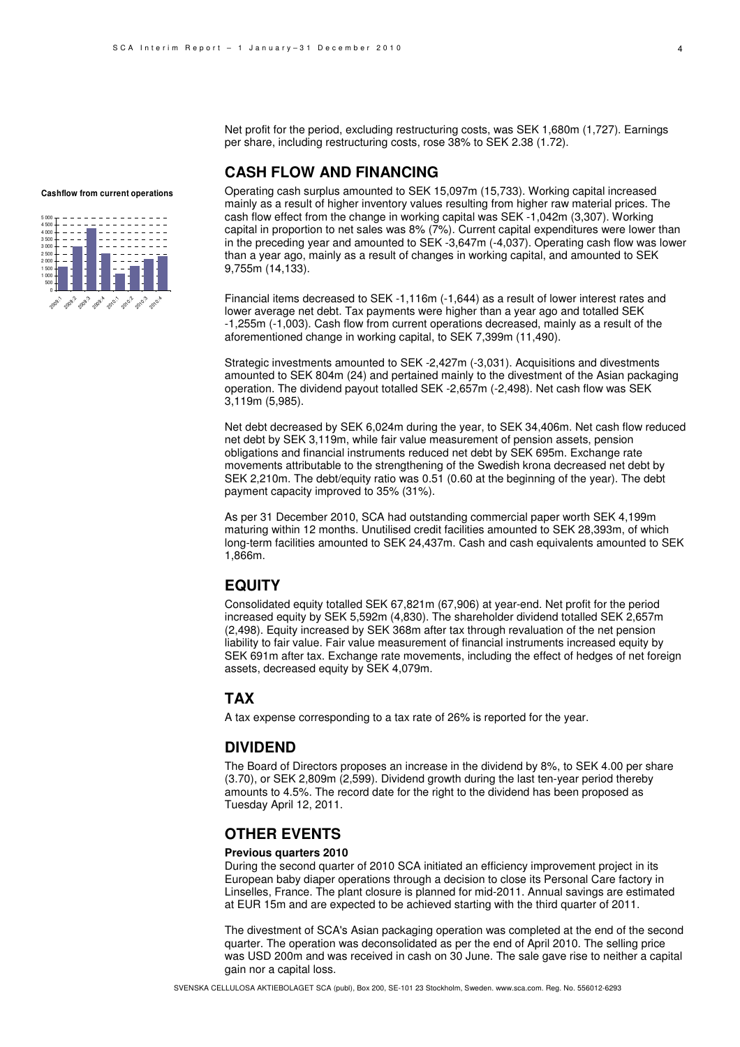Net profit for the period, excluding restructuring costs, was SEK 1,680m (1,727). Earnings per share, including restructuring costs, rose 38% to SEK 2.38 (1.72).

### **CASH FLOW AND FINANCING**

**Cashflow from current operations**



Operating cash surplus amounted to SEK 15,097m (15,733). Working capital increased mainly as a result of higher inventory values resulting from higher raw material prices. The cash flow effect from the change in working capital was SEK -1,042m (3,307). Working capital in proportion to net sales was 8% (7%). Current capital expenditures were lower than in the preceding year and amounted to SEK -3,647m (-4,037). Operating cash flow was lower than a year ago, mainly as a result of changes in working capital, and amounted to SEK 9,755m (14,133).

Financial items decreased to SEK -1,116m (-1,644) as a result of lower interest rates and lower average net debt. Tax payments were higher than a year ago and totalled SEK -1,255m (-1,003). Cash flow from current operations decreased, mainly as a result of the aforementioned change in working capital, to SEK 7,399m (11,490).

Strategic investments amounted to SEK -2,427m (-3,031). Acquisitions and divestments amounted to SEK 804m (24) and pertained mainly to the divestment of the Asian packaging operation. The dividend payout totalled SEK -2,657m (-2,498). Net cash flow was SEK 3,119m (5,985).

Net debt decreased by SEK 6,024m during the year, to SEK 34,406m. Net cash flow reduced net debt by SEK 3,119m, while fair value measurement of pension assets, pension obligations and financial instruments reduced net debt by SEK 695m. Exchange rate movements attributable to the strengthening of the Swedish krona decreased net debt by SEK 2,210m. The debt/equity ratio was 0.51 (0.60 at the beginning of the year). The debt payment capacity improved to 35% (31%).

As per 31 December 2010, SCA had outstanding commercial paper worth SEK 4,199m maturing within 12 months. Unutilised credit facilities amounted to SEK 28,393m, of which long-term facilities amounted to SEK 24,437m. Cash and cash equivalents amounted to SEK 1,866m.

### **EQUITY**

Consolidated equity totalled SEK 67,821m (67,906) at year-end. Net profit for the period increased equity by SEK 5,592m (4,830). The shareholder dividend totalled SEK 2,657m (2,498). Equity increased by SEK 368m after tax through revaluation of the net pension liability to fair value. Fair value measurement of financial instruments increased equity by SEK 691m after tax. Exchange rate movements, including the effect of hedges of net foreign assets, decreased equity by SEK 4,079m.

### **TAX**

A tax expense corresponding to a tax rate of 26% is reported for the year.

### **DIVIDEND**

The Board of Directors proposes an increase in the dividend by 8%, to SEK 4.00 per share (3.70), or SEK 2,809m (2,599). Dividend growth during the last ten-year period thereby amounts to 4.5%. The record date for the right to the dividend has been proposed as Tuesday April 12, 2011.

### **OTHER EVENTS**

#### **Previous quarters 2010**

During the second quarter of 2010 SCA initiated an efficiency improvement project in its European baby diaper operations through a decision to close its Personal Care factory in Linselles, France. The plant closure is planned for mid-2011. Annual savings are estimated at EUR 15m and are expected to be achieved starting with the third quarter of 2011.

The divestment of SCA's Asian packaging operation was completed at the end of the second quarter. The operation was deconsolidated as per the end of April 2010. The selling price was USD 200m and was received in cash on 30 June. The sale gave rise to neither a capital gain nor a capital loss.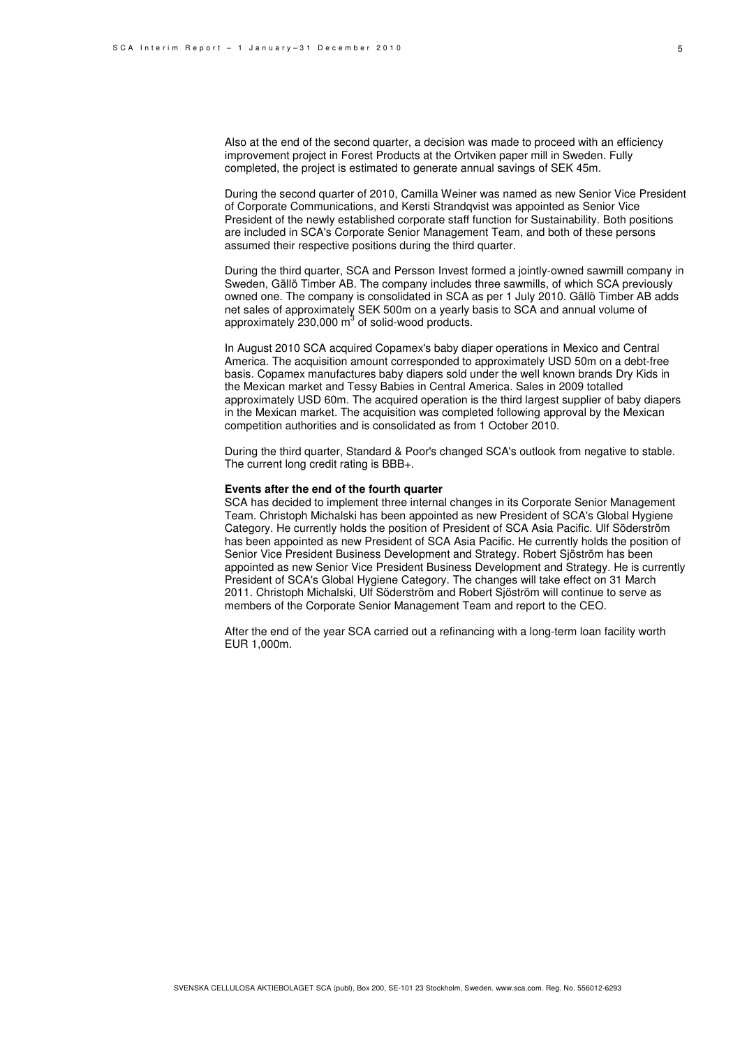Also at the end of the second quarter, a decision was made to proceed with an efficiency improvement project in Forest Products at the Ortviken paper mill in Sweden. Fully completed, the project is estimated to generate annual savings of SEK 45m.

During the second quarter of 2010, Camilla Weiner was named as new Senior Vice President of Corporate Communications, and Kersti Strandqvist was appointed as Senior Vice President of the newly established corporate staff function for Sustainability. Both positions are included in SCA's Corporate Senior Management Team, and both of these persons assumed their respective positions during the third quarter.

During the third quarter, SCA and Persson Invest formed a jointly-owned sawmill company in Sweden, Gällö Timber AB. The company includes three sawmills, of which SCA previously owned one. The company is consolidated in SCA as per 1 July 2010. Gällö Timber AB adds net sales of approximately SEK 500m on a yearly basis to SCA and annual volume of approximately  $230,000 \text{ m}^3$  of solid-wood products.

In August 2010 SCA acquired Copamex's baby diaper operations in Mexico and Central America. The acquisition amount corresponded to approximately USD 50m on a debt-free basis. Copamex manufactures baby diapers sold under the well known brands Dry Kids in the Mexican market and Tessy Babies in Central America. Sales in 2009 totalled approximately USD 60m. The acquired operation is the third largest supplier of baby diapers in the Mexican market. The acquisition was completed following approval by the Mexican competition authorities and is consolidated as from 1 October 2010.

During the third quarter, Standard & Poor's changed SCA's outlook from negative to stable. The current long credit rating is BBB+.

#### **Events after the end of the fourth quarter**

SCA has decided to implement three internal changes in its Corporate Senior Management Team. Christoph Michalski has been appointed as new President of SCA's Global Hygiene Category. He currently holds the position of President of SCA Asia Pacific. Ulf Söderström has been appointed as new President of SCA Asia Pacific. He currently holds the position of Senior Vice President Business Development and Strategy. Robert Sjöström has been appointed as new Senior Vice President Business Development and Strategy. He is currently President of SCA's Global Hygiene Category. The changes will take effect on 31 March 2011. Christoph Michalski, Ulf Söderström and Robert Sjöström will continue to serve as members of the Corporate Senior Management Team and report to the CEO.

After the end of the year SCA carried out a refinancing with a long-term loan facility worth EUR 1,000m.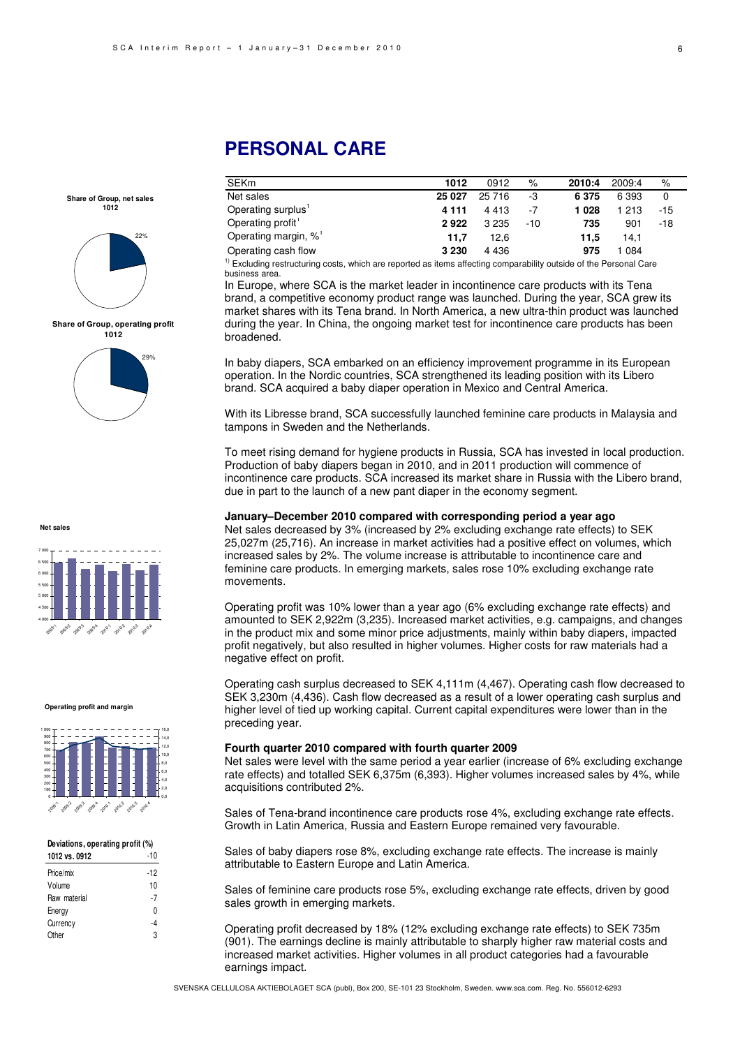# **PERSONAL CARE**

| <b>SEKm</b>                      | 1012    | 0912    | $\%$  | 2010:4  | 2009:4  | $\%$  |
|----------------------------------|---------|---------|-------|---------|---------|-------|
| Net sales                        | 25 0 27 | 25 716  | -3    | 6 3 7 5 | 6 3 9 3 | 0     |
| Operating surplus'               | 4 1 1 1 | 4 4 1 3 | -7    | 1028    | 1 213   | $-15$ |
| Operating profit <sup>1</sup>    | 2922    | 3 2 3 5 | $-10$ | 735     | 901     | $-18$ |
| Operating margin, % <sup>1</sup> | 11.7    | 12.6    |       | 11.5    | 14.1    |       |
| Operating cash flow              | 3 2 3 0 | 4 4 3 6 |       | 975     | 084     |       |

luding restructuring costs, which are reported as items affecting comparability outs business area.

In Europe, where SCA is the market leader in incontinence care products with its Tena brand, a competitive economy product range was launched. During the year, SCA grew its market shares with its Tena brand. In North America, a new ultra-thin product was launched during the year. In China, the ongoing market test for incontinence care products has been broadened.

In baby diapers, SCA embarked on an efficiency improvement programme in its European operation. In the Nordic countries, SCA strengthened its leading position with its Libero brand. SCA acquired a baby diaper operation in Mexico and Central America.

With its Libresse brand, SCA successfully launched feminine care products in Malaysia and tampons in Sweden and the Netherlands.

To meet rising demand for hygiene products in Russia, SCA has invested in local production. Production of baby diapers began in 2010, and in 2011 production will commence of incontinence care products. SCA increased its market share in Russia with the Libero brand, due in part to the launch of a new pant diaper in the economy segment.

#### **January–December 2010 compared with corresponding period a year ago**

Net sales decreased by 3% (increased by 2% excluding exchange rate effects) to SEK 25,027m (25,716). An increase in market activities had a positive effect on volumes, which increased sales by 2%. The volume increase is attributable to incontinence care and feminine care products. In emerging markets, sales rose 10% excluding exchange rate movements.

Operating profit was 10% lower than a year ago (6% excluding exchange rate effects) and amounted to SEK 2,922m (3,235). Increased market activities, e.g. campaigns, and changes in the product mix and some minor price adjustments, mainly within baby diapers, impacted profit negatively, but also resulted in higher volumes. Higher costs for raw materials had a negative effect on profit.

Operating cash surplus decreased to SEK 4,111m (4,467). Operating cash flow decreased to SEK 3,230m (4,436). Cash flow decreased as a result of a lower operating cash surplus and higher level of tied up working capital. Current capital expenditures were lower than in the preceding year.

#### **Fourth quarter 2010 compared with fourth quarter 2009**

Net sales were level with the same period a year earlier (increase of 6% excluding exchange rate effects) and totalled SEK 6,375m (6,393). Higher volumes increased sales by 4%, while acquisitions contributed 2%.

Sales of Tena-brand incontinence care products rose 4%, excluding exchange rate effects. Growth in Latin America, Russia and Eastern Europe remained very favourable.

Sales of baby diapers rose 8%, excluding exchange rate effects. The increase is mainly attributable to Eastern Europe and Latin America.

Sales of feminine care products rose 5%, excluding exchange rate effects, driven by good sales growth in emerging markets.

Operating profit decreased by 18% (12% excluding exchange rate effects) to SEK 735m (901). The earnings decline is mainly attributable to sharply higher raw material costs and increased market activities. Higher volumes in all product categories had a favourable earnings impact.

**Share of Group, net sales 1012** 



**Share of Group, operating profit 1012**



**Net sales**



#### **Operating profit and margin**



#### **Deviations, operating profit (%)**

| 1012 vs. 0912 | -10   |
|---------------|-------|
| Price/mix     | $-12$ |
| Volume        | 10    |
| Raw material  | -7    |
| Energy        | N     |
| Currency      | -4    |
| Other         | 3     |
|               |       |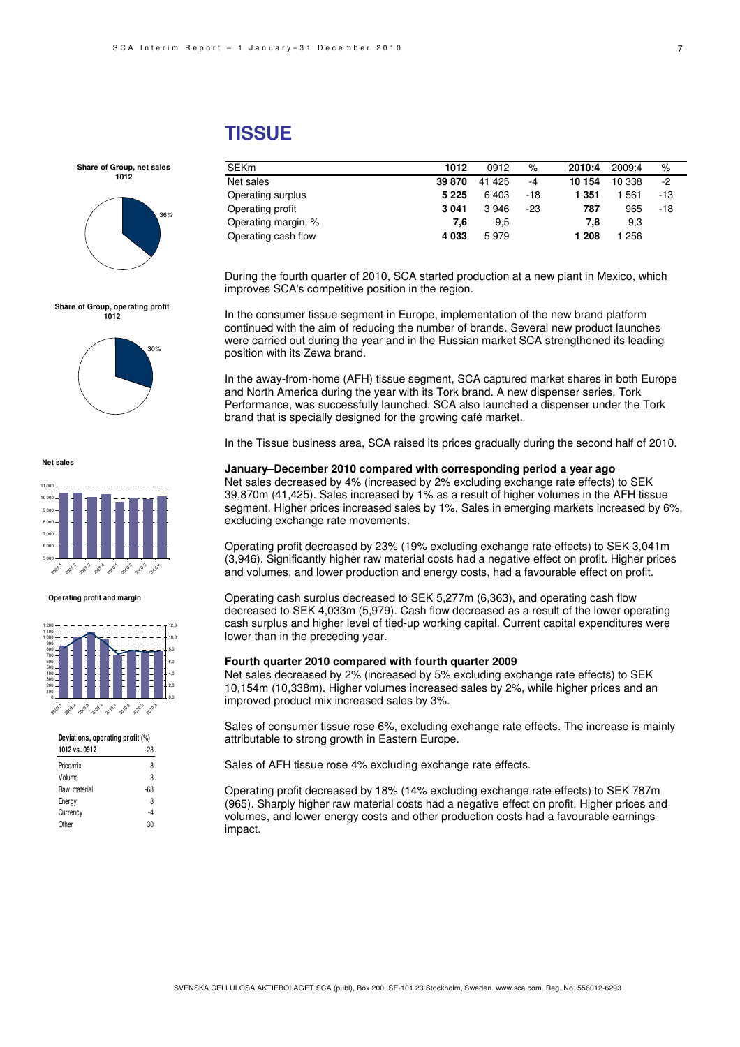# **TISSUE**

| <b>SEKm</b>         | 1012    | 0912   | $\%$  | 2010:4 | 2009:4 | %     |
|---------------------|---------|--------|-------|--------|--------|-------|
| Net sales           | 39 870  | 41 425 | -4    | 10 154 | 10 338 | -2    |
| Operating surplus   | 5 2 2 5 | 6403   | $-18$ | 1 351  | 561    | -13   |
| Operating profit    | 3041    | 3946   | $-23$ | 787    | 965    | $-18$ |
| Operating margin, % | 7.6     | 9,5    |       | 7.8    | 9,3    |       |
| Operating cash flow | 4 0 3 3 | 5979   |       | 1 208  | 256    |       |

During the fourth quarter of 2010, SCA started production at a new plant in Mexico, which improves SCA's competitive position in the region.

In the consumer tissue segment in Europe, implementation of the new brand platform continued with the aim of reducing the number of brands. Several new product launches were carried out during the year and in the Russian market SCA strengthened its leading position with its Zewa brand.

In the away-from-home (AFH) tissue segment, SCA captured market shares in both Europe and North America during the year with its Tork brand. A new dispenser series, Tork Performance, was successfully launched. SCA also launched a dispenser under the Tork brand that is specially designed for the growing café market.

In the Tissue business area, SCA raised its prices gradually during the second half of 2010.

#### **January–December 2010 compared with corresponding period a year ago**

Net sales decreased by 4% (increased by 2% excluding exchange rate effects) to SEK 39,870m (41,425). Sales increased by 1% as a result of higher volumes in the AFH tissue segment. Higher prices increased sales by 1%. Sales in emerging markets increased by 6%, excluding exchange rate movements.

Operating profit decreased by 23% (19% excluding exchange rate effects) to SEK 3,041m (3,946). Significantly higher raw material costs had a negative effect on profit. Higher prices and volumes, and lower production and energy costs, had a favourable effect on profit.

Operating cash surplus decreased to SEK 5,277m (6,363), and operating cash flow decreased to SEK 4,033m (5,979). Cash flow decreased as a result of the lower operating cash surplus and higher level of tied-up working capital. Current capital expenditures were lower than in the preceding year.

#### **Fourth quarter 2010 compared with fourth quarter 2009**

Net sales decreased by 2% (increased by 5% excluding exchange rate effects) to SEK 10,154m (10,338m). Higher volumes increased sales by 2%, while higher prices and an improved product mix increased sales by 3%.

Sales of consumer tissue rose 6%, excluding exchange rate effects. The increase is mainly attributable to strong growth in Eastern Europe.

Sales of AFH tissue rose 4% excluding exchange rate effects.

Operating profit decreased by 18% (14% excluding exchange rate effects) to SEK 787m (965). Sharply higher raw material costs had a negative effect on profit. Higher prices and volumes, and lower energy costs and other production costs had a favourable earnings impact.



**Share of Group, net sales 1012**

 $80/10$ 



**Net sales**



#### **Operating profit and margin**



| Deviations, operating profit (%) |     |  |  |
|----------------------------------|-----|--|--|
| 1012 vs. 0912                    | -23 |  |  |
| Price/mix                        | 8   |  |  |
| Volume                           | 3   |  |  |
| Raw material                     | -68 |  |  |
| Energy                           | 8   |  |  |
| Currency                         | -4  |  |  |
| Other                            | 30  |  |  |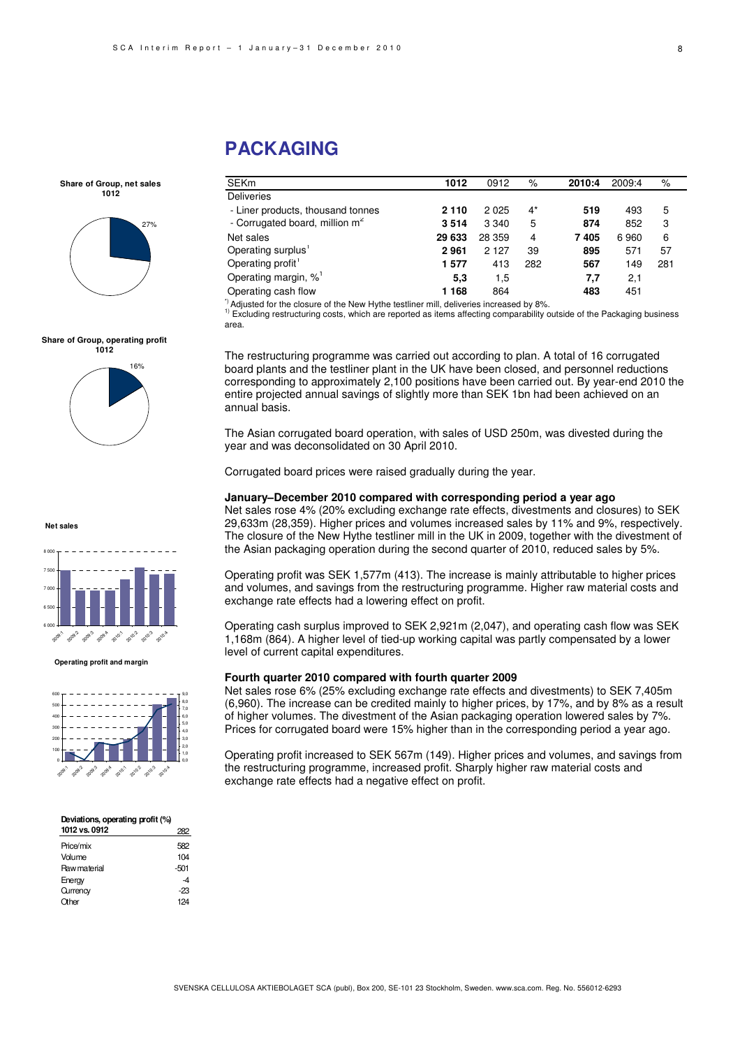# **PACKAGING**

SEKm **1012** 0912 % **2010:4** 2009:4 % **Deliveries**  - Liner products, thousand tonnes **2 110** 2 025 4\* **519** 493 5 - Corrugated board, million  $m^2$ **3 514** 3 340 5 **874** 852 3 Net sales **29 633** 28 359 4 **7 405** 6 960 6 Operating surplus<sup>1</sup> **2 961** 2 127 39 **895** 571 57 Operating profit<sup>1</sup> **1 577** 413 282 **567** 149 281 Operating margin, %<sup>1</sup> **5,3** 1,5 **7,7** 2,1 Operating cash flow **1 168** 864 **483** 451

\*) Adjusted for the closure of the New Hythe testliner mill, deliveries increased by 8%.

<sup>11</sup> Excluding restructuring costs, which are reported as items affecting comparability outside of the Packaging business area.

The restructuring programme was carried out according to plan. A total of 16 corrugated board plants and the testliner plant in the UK have been closed, and personnel reductions corresponding to approximately 2,100 positions have been carried out. By year-end 2010 the entire projected annual savings of slightly more than SEK 1bn had been achieved on an annual basis.

The Asian corrugated board operation, with sales of USD 250m, was divested during the year and was deconsolidated on 30 April 2010.

Corrugated board prices were raised gradually during the year.

#### **January–December 2010 compared with corresponding period a year ago**

Net sales rose 4% (20% excluding exchange rate effects, divestments and closures) to SEK 29,633m (28,359). Higher prices and volumes increased sales by 11% and 9%, respectively. The closure of the New Hythe testliner mill in the UK in 2009, together with the divestment of the Asian packaging operation during the second quarter of 2010, reduced sales by 5%.

Operating profit was SEK 1,577m (413). The increase is mainly attributable to higher prices and volumes, and savings from the restructuring programme. Higher raw material costs and exchange rate effects had a lowering effect on profit.

Operating cash surplus improved to SEK 2,921m (2,047), and operating cash flow was SEK 1,168m (864). A higher level of tied-up working capital was partly compensated by a lower level of current capital expenditures.

#### **Fourth quarter 2010 compared with fourth quarter 2009**

Net sales rose 6% (25% excluding exchange rate effects and divestments) to SEK 7,405m (6,960). The increase can be credited mainly to higher prices, by 17%, and by 8% as a result of higher volumes. The divestment of the Asian packaging operation lowered sales by 7%. Prices for corrugated board were 15% higher than in the corresponding period a year ago.

Operating profit increased to SEK 567m (149). Higher prices and volumes, and savings from the restructuring programme, increased profit. Sharply higher raw material costs and exchange rate effects had a negative effect on profit.





**Share of Group, operating profit**



**Net sales**



#### **Operating profit and margin**



#### **Deviations, operating profit (%) 1012 vs. 0912** 282 Price/mix 582 Volume 104

| <u>vuulle</u>       | $\cdots$ |
|---------------------|----------|
| <b>Raw material</b> | $-501$   |
| Energy              | -4       |
| Qurrency            | -23      |
| Other               | 124      |
|                     |          |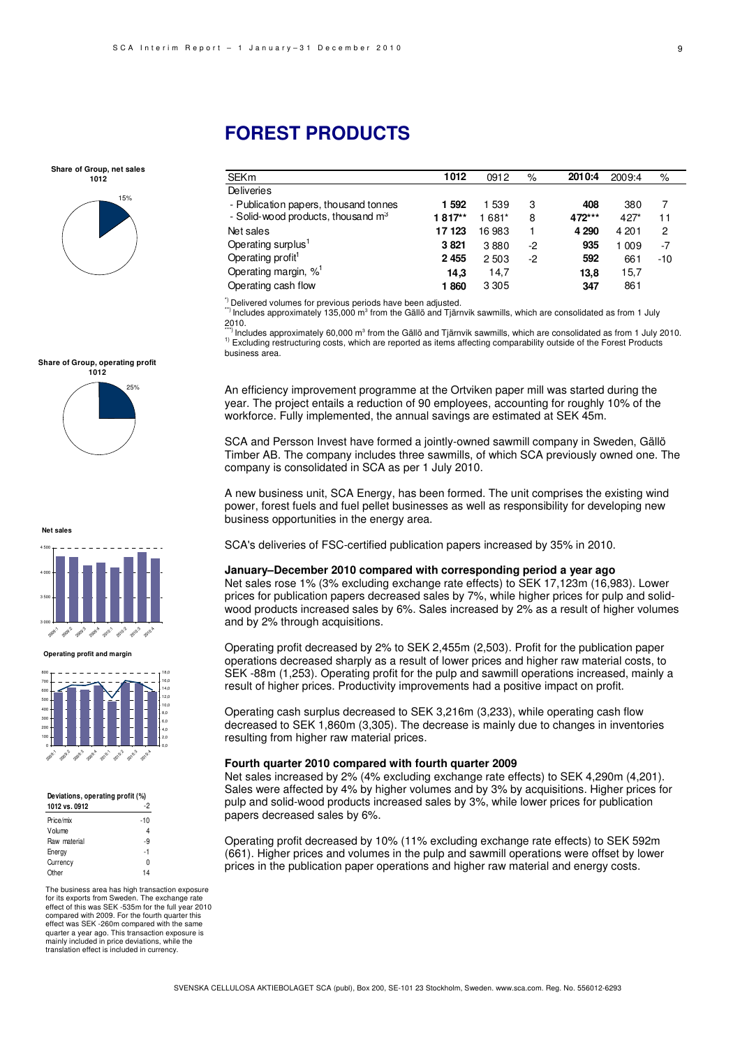**Share of Group, net sales 1012**



#### **Share of Group, operating profit**



**Net sales**



0 100 200 300 400 500 600 700 800 2009.1 2009.2 2019 2009:4 2010:1 2010:2 2010:3 20.4 0,0 2,0 4,0 6,0 8,0 18,0

#### **Deviations, operating profit (%)**

| 1012 vs. 0912 | -2    |
|---------------|-------|
| Price/mix     | $-10$ |
| Volume        | 4     |
| Raw material  | -9    |
| Energy        | -1    |
| Currency      | O     |
| Other         | 14    |

The business area has high transaction exposure for its exports from Sweden. The exchange rate effect of this was SEK -535m for the full year 2010 compared with 2009. For the fourth quarter this effect was SEK -260m compared with the same quarter a year ago. This transaction exposure is mainly included in price deviations, while the translation effect is included in currency.

# **FOREST PRODUCTS**

| <b>SEKm</b>                           | 1012    | 0912    | %    | 2010:4  | 2009:4 | %     |
|---------------------------------------|---------|---------|------|---------|--------|-------|
| <b>Deliveries</b>                     |         |         |      |         |        |       |
| - Publication papers, thousand tonnes | 1 5 9 2 | 1539    | 3    | 408     | 380    |       |
| - Solid-wood products, thousand $m3$  | 1817**  | 1 681*  | 8    | 472***  | $427*$ | 11    |
| Net sales                             | 17 123  | 16 983  |      | 4 2 9 0 | 4 20 1 | 2     |
| Operating surplus <sup>1</sup>        | 3821    | 3880    | $-2$ | 935     | 1 009  | $-7$  |
| Operating profit <sup>1</sup>         | 2455    | 2503    | -2   | 592     | 661    | $-10$ |
| Operating margin, % <sup>1</sup>      | 14,3    | 14.7    |      | 13,8    | 15,7   |       |
| Operating cash flow                   | 1860    | 3 3 0 5 |      | 347     | 861    |       |

\*) Delivered volumes for previous periods have been adjusted.

") Includes approximately 135,000 m<sup>3</sup> from the Gällö and Tjärnvik sawmills, which are consolidated as from 1 July 2010.

\*\*\*\*\*\*\*\*\* Includes approximately 60,000 m<sup>3</sup> from the Gällö and Tjärnvik sawmills, which are consolidated as from 1 July 2010. 1) Excluding restructuring costs, which are reported as items affecting comparability outside of the Forest Products business area.

An efficiency improvement programme at the Ortviken paper mill was started during the year. The project entails a reduction of 90 employees, accounting for roughly 10% of the workforce. Fully implemented, the annual savings are estimated at SEK 45m.

SCA and Persson Invest have formed a jointly-owned sawmill company in Sweden, Gällö Timber AB. The company includes three sawmills, of which SCA previously owned one. The company is consolidated in SCA as per 1 July 2010.

A new business unit, SCA Energy, has been formed. The unit comprises the existing wind power, forest fuels and fuel pellet businesses as well as responsibility for developing new business opportunities in the energy area.

SCA's deliveries of FSC-certified publication papers increased by 35% in 2010.

### **January–December 2010 compared with corresponding period a year ago**

Net sales rose 1% (3% excluding exchange rate effects) to SEK 17,123m (16,983). Lower prices for publication papers decreased sales by 7%, while higher prices for pulp and solidwood products increased sales by 6%. Sales increased by 2% as a result of higher volumes and by 2% through acquisitions.

Operating profit decreased by 2% to SEK 2,455m (2,503). Profit for the publication paper operations decreased sharply as a result of lower prices and higher raw material costs, to SEK -88m (1,253). Operating profit for the pulp and sawmill operations increased, mainly a result of higher prices. Productivity improvements had a positive impact on profit.

Operating cash surplus decreased to SEK 3,216m (3,233), while operating cash flow decreased to SEK 1,860m (3,305). The decrease is mainly due to changes in inventories resulting from higher raw material prices.

#### **Fourth quarter 2010 compared with fourth quarter 2009**

Net sales increased by 2% (4% excluding exchange rate effects) to SEK 4,290m (4,201). Sales were affected by 4% by higher volumes and by 3% by acquisitions. Higher prices for pulp and solid-wood products increased sales by 3%, while lower prices for publication papers decreased sales by 6%.

Operating profit decreased by 10% (11% excluding exchange rate effects) to SEK 592m (661). Higher prices and volumes in the pulp and sawmill operations were offset by lower prices in the publication paper operations and higher raw material and energy costs.



**Operating profit and margin**

10,0 12,0 14,0 16,0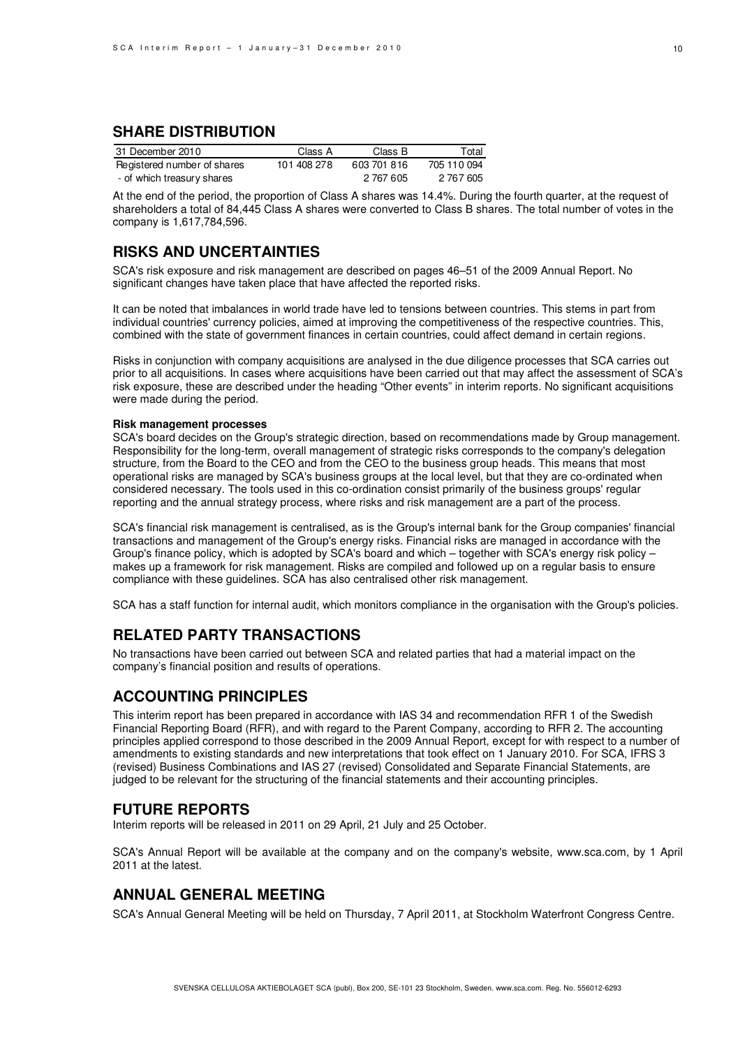### **SHARE DISTRIBUTION**

| 31 December 2010            | Class A     | Class B     | Total       |
|-----------------------------|-------------|-------------|-------------|
| Registered number of shares | 101 408 278 | 603 701 816 | 705 110 094 |
| - of which treasury shares  |             | 2 767 605   | 2 767 605   |

At the end of the period, the proportion of Class A shares was 14.4%. During the fourth quarter, at the request of shareholders a total of 84,445 Class A shares were converted to Class B shares. The total number of votes in the company is 1,617,784,596.

### **RISKS AND UNCERTAINTIES**

SCA's risk exposure and risk management are described on pages 46–51 of the 2009 Annual Report. No significant changes have taken place that have affected the reported risks.

It can be noted that imbalances in world trade have led to tensions between countries. This stems in part from individual countries' currency policies, aimed at improving the competitiveness of the respective countries. This, combined with the state of government finances in certain countries, could affect demand in certain regions.

Risks in conjunction with company acquisitions are analysed in the due diligence processes that SCA carries out prior to all acquisitions. In cases where acquisitions have been carried out that may affect the assessment of SCA's risk exposure, these are described under the heading "Other events" in interim reports. No significant acquisitions were made during the period.

#### **Risk management processes**

SCA's board decides on the Group's strategic direction, based on recommendations made by Group management. Responsibility for the long-term, overall management of strategic risks corresponds to the company's delegation structure, from the Board to the CEO and from the CEO to the business group heads. This means that most operational risks are managed by SCA's business groups at the local level, but that they are co-ordinated when considered necessary. The tools used in this co-ordination consist primarily of the business groups' regular reporting and the annual strategy process, where risks and risk management are a part of the process.

SCA's financial risk management is centralised, as is the Group's internal bank for the Group companies' financial transactions and management of the Group's energy risks. Financial risks are managed in accordance with the Group's finance policy, which is adopted by SCA's board and which – together with SCA's energy risk policy – makes up a framework for risk management. Risks are compiled and followed up on a regular basis to ensure compliance with these guidelines. SCA has also centralised other risk management.

SCA has a staff function for internal audit, which monitors compliance in the organisation with the Group's policies.

### **RELATED PARTY TRANSACTIONS**

No transactions have been carried out between SCA and related parties that had a material impact on the company's financial position and results of operations.

### **ACCOUNTING PRINCIPLES**

This interim report has been prepared in accordance with IAS 34 and recommendation RFR 1 of the Swedish Financial Reporting Board (RFR), and with regard to the Parent Company, according to RFR 2. The accounting principles applied correspond to those described in the 2009 Annual Report, except for with respect to a number of amendments to existing standards and new interpretations that took effect on 1 January 2010. For SCA, IFRS 3 (revised) Business Combinations and IAS 27 (revised) Consolidated and Separate Financial Statements, are judged to be relevant for the structuring of the financial statements and their accounting principles.

### **FUTURE REPORTS**

Interim reports will be released in 2011 on 29 April, 21 July and 25 October.

SCA's Annual Report will be available at the company and on the company's website, www.sca.com, by 1 April 2011 at the latest.

### **ANNUAL GENERAL MEETING**

SCA's Annual General Meeting will be held on Thursday, 7 April 2011, at Stockholm Waterfront Congress Centre.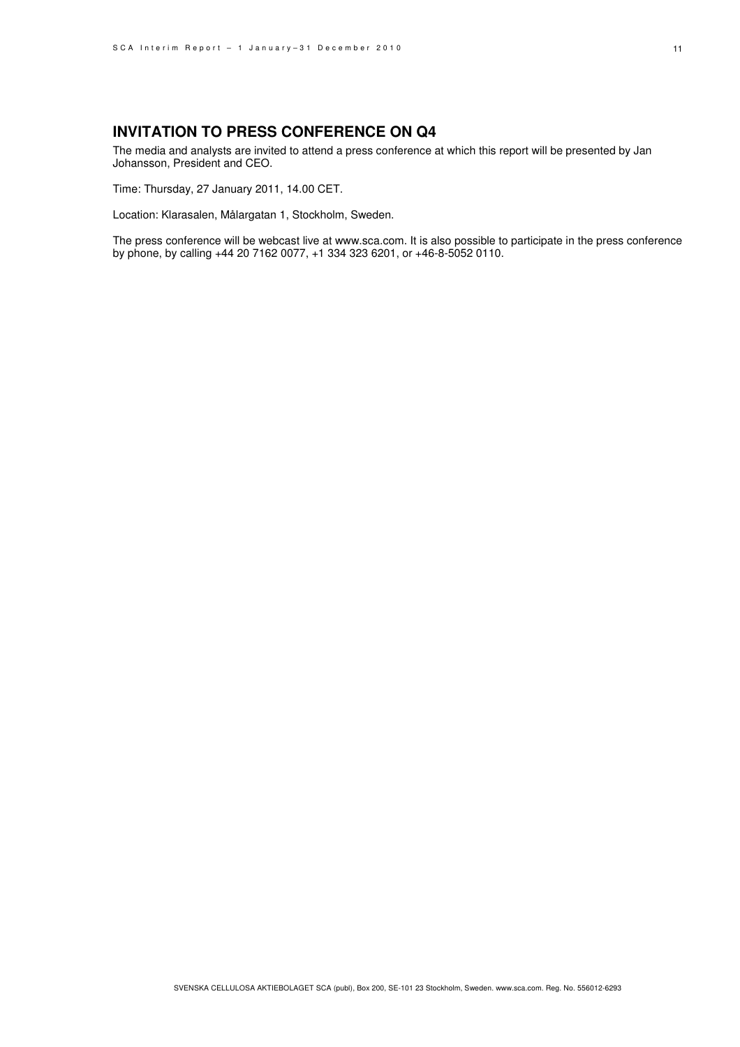### **INVITATION TO PRESS CONFERENCE ON Q4**

The media and analysts are invited to attend a press conference at which this report will be presented by Jan Johansson, President and CEO.

Time: Thursday, 27 January 2011, 14.00 CET.

Location: Klarasalen, Målargatan 1, Stockholm, Sweden.

The press conference will be webcast live at www.sca.com. It is also possible to participate in the press conference by phone, by calling +44 20 7162 0077, +1 334 323 6201, or +46-8-5052 0110.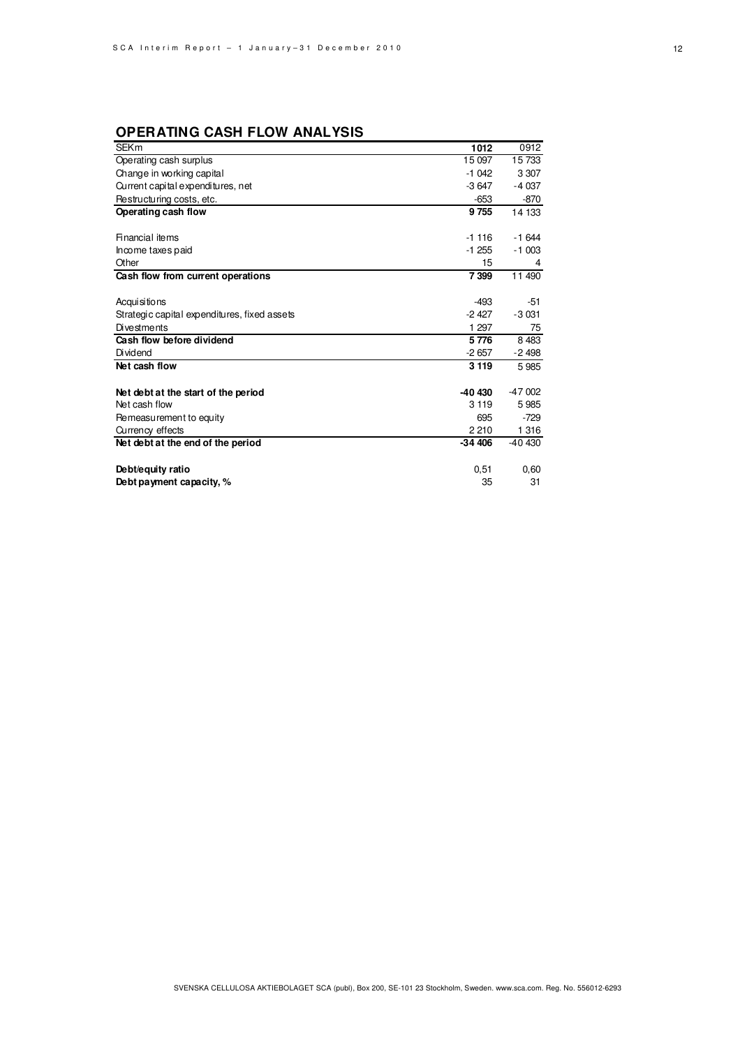# **OPERATING CASH FLOW ANALYSIS**

| <b>SEKm</b>                                  | 1012     | 0912     |
|----------------------------------------------|----------|----------|
| Operating cash surplus                       | 15 097   | 15733    |
| Change in working capital                    | $-1042$  | 3 3 0 7  |
| Current capital expenditures, net            | $-3647$  | $-4037$  |
| Restructuring costs, etc.                    | $-653$   | $-870$   |
| Operating cash flow                          | 9 7 5 5  | 14 133   |
|                                              |          |          |
| <b>Financial items</b>                       | $-1116$  | $-1644$  |
| Income taxes paid                            | $-1255$  | $-1003$  |
| Other                                        | 15       | 4        |
| Cash flow from current operations            | 7 3 9 9  | 11 490   |
|                                              |          |          |
| Acqui si tions                               | $-493$   | -51      |
| Strategic capital expenditures, fixed assets | $-2427$  | $-3031$  |
| <b>Divestments</b>                           | 1 297    | 75       |
| Cash flow before dividend                    | 5776     | 8 4 8 3  |
| Dividend                                     | $-2657$  | $-2498$  |
| Net cash flow                                | 3 1 1 9  | 5985     |
|                                              |          |          |
| Net debt at the start of the period          | -40 430  | $-47002$ |
| Net cash flow                                | 3 1 1 9  | 5985     |
| Remeasurement to equity                      | 695      | $-729$   |
| Currency effects                             | 2 2 1 0  | 1 3 1 6  |
| Net debt at the end of the period            | $-34406$ | -40 430  |
|                                              |          |          |
| Debt/equity ratio                            | 0,51     | 0,60     |
| Debt payment capacity, %                     | 35       | 31       |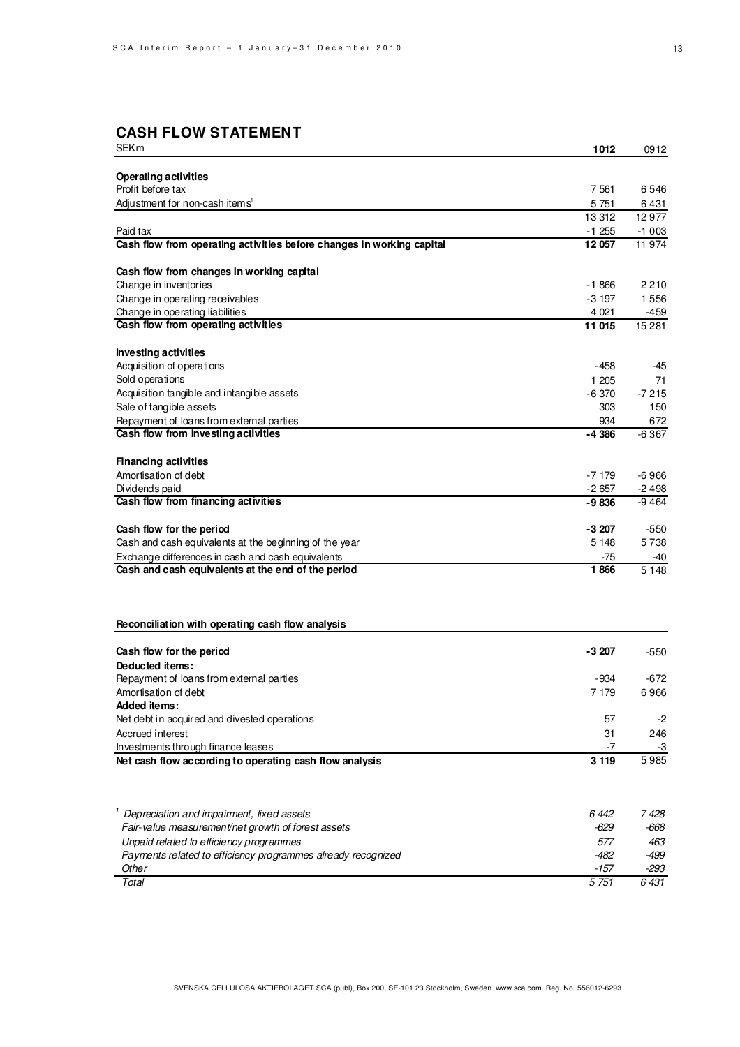# **CASH FLOW STATEMENT**

| <b>SEKm</b>                                                           | 1012    | 0912    |
|-----------------------------------------------------------------------|---------|---------|
|                                                                       |         |         |
| <b>Operating activities</b>                                           |         |         |
| Profit before tax                                                     | 7561    | 6546    |
| Adjustment for non-cash items <sup>1</sup>                            | 5 7 5 1 | 6 4 3 1 |
|                                                                       | 13312   | 12977   |
| Paid tax                                                              | $-1255$ | $-1003$ |
| Cash flow from operating activities before changes in working capital | 12057   | 11974   |
| Cash flow from changes in working capital                             |         |         |
| Change in inventories                                                 | -1866   | 2210    |
| Change in operating receivables                                       | $-3197$ | 1556    |
| Change in operating liabilities                                       | 4 0 21  | -459    |
| Cash flow from operating activities                                   | 11 015  | 15 2 81 |
| <b>Investing activities</b>                                           |         |         |
| Acquisition of operations                                             | -458    | -45     |
| Sold operations                                                       | 1 205   | 71      |
| Acquisition tangible and intangible assets                            | $-6370$ | $-7215$ |
| Sale of tangible assets                                               | 303     | 150     |
| Repayment of loans from external parties                              | 934     | 672     |
| Cash flow from investing activities                                   | -4 386  | -6367   |
|                                                                       |         |         |
| <b>Financing activities</b>                                           |         |         |
| Amortisation of debt                                                  | -7 179  | $-6966$ |
| Dividends paid                                                        | $-2657$ | $-2498$ |
| Cash flow from financing activities                                   | -9836   | -9464   |
| Cash flow for the period                                              | -3 207  | $-550$  |
| Cash and cash equivalents at the beginning of the year                | 5 1 4 8 | 5738    |
| Exchange differences in cash and cash equivalents                     | -75     | -40     |
| Cash and cash equivalents at the end of the period                    | 1866    | 5 1 4 8 |
|                                                                       |         |         |
|                                                                       |         |         |
| Reconciliation with operating cash flow analysis                      |         |         |
| Cash flow for the period                                              | -3 207  | -550    |
| Deducted items:                                                       |         |         |
| Repayment of loans from external parties                              | -934    | -672    |
| Amortisation of debt                                                  | 7 179   | 6966    |
| Added items:                                                          |         |         |
| Net debt in acquired and divested operations                          | 57      | -2      |
| Accrued interest                                                      | 31      | 246     |
| Investments through finance leases                                    | $-7$    | -3      |
| Net cash flow according to operating cash flow analysis               | 3 1 1 9 | 5985    |
|                                                                       |         |         |
| Depreciation and impairment, fixed assets                             | 6 442   | 7 428   |
| Fair-value measurement/net growth of forest assets                    | -629    | -668    |
| Unpaid related to efficiency programmes                               | 577     | 463     |
| Payments related to efficiency programmes already recognized          | $-482$  | $-499$  |
| Other                                                                 | $-157$  | -293    |
| Total                                                                 | 5 7 51  | 6 431   |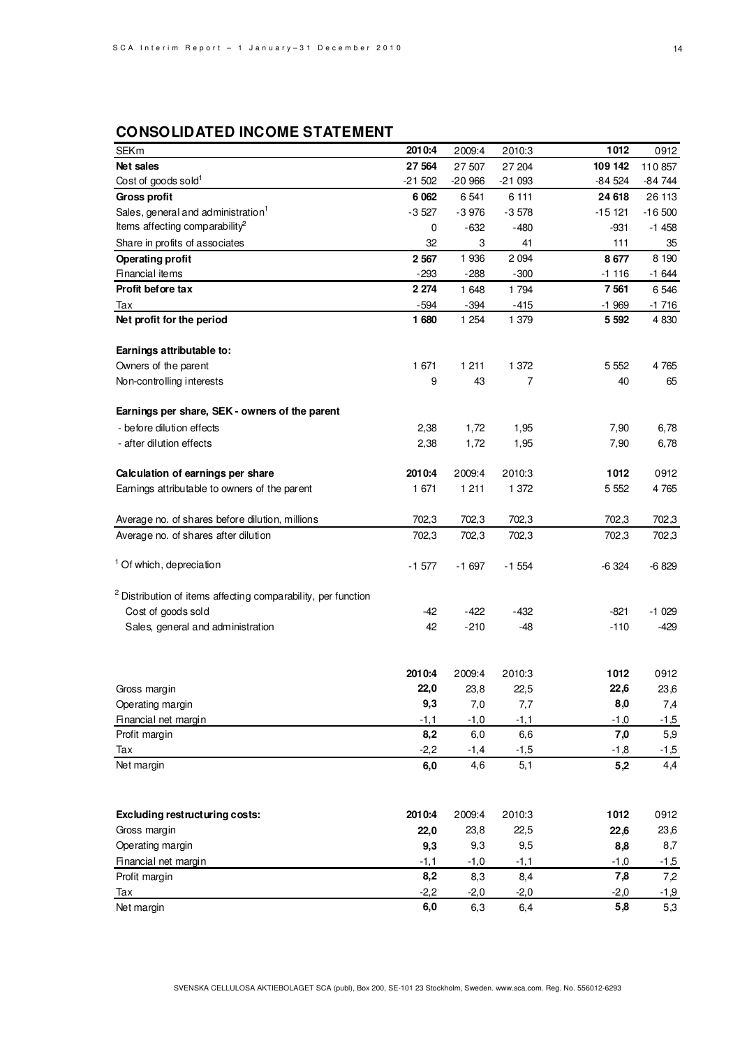## **CONSOLIDATED INCOME STATEMENT**

| <b>SEKm</b>                                                              | 2010:4   | 2009:4   | 2010:3   | 1012     | 0912     |
|--------------------------------------------------------------------------|----------|----------|----------|----------|----------|
| Net sales                                                                | 27 564   | 27 507   | 27 204   | 109 142  | 110857   |
| Cost of goods sold <sup>1</sup>                                          | $-21502$ | $-20966$ | $-21093$ | $-84524$ | $-84744$ |
| Gross profit                                                             | 6 0 62   | 6 5 41   | 6 1 1 1  | 24 618   | 26 113   |
| Sales, general and administration <sup>1</sup>                           | $-3527$  | $-3976$  | $-3578$  | $-15121$ | $-16500$ |
| Items affecting comparability <sup>2</sup>                               | 0        | -632     | $-480$   | -931     | $-1458$  |
| Share in profits of associates                                           | 32       | 3        | 41       | 111      | 35       |
| <b>Operating profit</b>                                                  | 2 5 6 7  | 1936     | 2 0 9 4  | 8677     | 8 1 9 0  |
| Financial items                                                          | $-293$   | $-288$   | $-300$   | $-1116$  | $-1644$  |
| Profit before tax                                                        | 2 2 7 4  | 1 648    | 1 794    | 7 5 61   | 6 5 4 6  |
| Tax                                                                      | $-594$   | $-394$   | $-415$   | $-1969$  | $-1716$  |
| Net profit for the period                                                | 1680     | 1 2 5 4  | 1 379    | 5 5 9 2  | 4 8 30   |
|                                                                          |          |          |          |          |          |
| Earnings attributable to:                                                |          |          |          |          |          |
| Owners of the parent                                                     | 1 671    | 1 2 1 1  | 1 372    | 5 5 5 2  | 4765     |
| Non-controlling interests                                                | 9        | 43       | 7        | 40       | 65       |
|                                                                          |          |          |          |          |          |
| Earnings per share, SEK - owners of the parent                           |          |          |          |          |          |
| - before dilution effects                                                | 2,38     | 1,72     | 1,95     | 7,90     | 6,78     |
| - after dilution effects                                                 | 2,38     | 1,72     | 1,95     | 7,90     | 6,78     |
|                                                                          |          |          |          |          |          |
| Calculation of earnings per share                                        | 2010:4   | 2009:4   | 2010:3   | 1012     | 0912     |
| Earnings attributable to owners of the parent                            | 1 671    | 1 2 1 1  | 1 372    | 5 5 5 2  | 4765     |
|                                                                          |          |          |          |          |          |
| Average no. of shares before dilution, millions                          | 702,3    | 702,3    | 702,3    | 702,3    | 702,3    |
| Average no. of shares after dilution                                     | 702,3    | 702,3    | 702,3    | 702,3    | 702,3    |
|                                                                          |          |          |          |          |          |
| <sup>1</sup> Of which, depreciation                                      | $-1577$  | $-1697$  | $-1554$  | $-6324$  | $-6829$  |
|                                                                          |          |          |          |          |          |
| <sup>2</sup> Distribution of items affecting comparability, per function |          |          |          |          |          |
| Cost of goods sold                                                       | $-42$    | -422     | $-432$   | -821     | $-1029$  |
| Sales, general and administration                                        | 42       | $-210$   | $-48$    | $-110$   | -429     |
|                                                                          |          |          |          |          |          |
|                                                                          |          |          |          |          |          |
|                                                                          | 2010:4   | 2009:4   | 2010:3   | 1012     | 0912     |
| Gross margin                                                             | 22,0     | 23,8     | 22,5     | 22,6     | 23,6     |
| Operating margin                                                         | 9,3      | 7,0      | 7,7      | 8,0      | 7,4      |
| Financial net margin                                                     | $-1,1$   | $-1,0$   | $-1,1$   | $-1,0$   | $-1,5$   |
| Profit margin                                                            | 8,2      | 6,0      | 6,6      | 7,0      | 5,9      |
| Tax                                                                      | $-2,2$   | $-1,4$   | $-1,5$   | $-1,8$   | $-1,5$   |
| Net margin                                                               | 6,0      | 4,6      | 5,1      | 5,2      | 4,4      |
|                                                                          |          |          |          |          |          |
|                                                                          |          |          |          |          |          |
| Excluding restructuring costs:                                           | 2010:4   | 2009:4   | 2010:3   | 1012     | 0912     |
| Gross margin                                                             | 22,0     | 23,8     | 22,5     | 22,6     | 23,6     |
| Operating margin                                                         | 9,3      | 9,3      | 9,5      | 8,8      | 8,7      |
| Financial net margin                                                     | $-1,1$   | $-1,0$   | $-1,1$   | $-1,0$   | $-1,5$   |
| Profit margin                                                            | 8,2      | 8,3      | 8,4      | 7,8      | 7,2      |
| Tax                                                                      | $-2,2$   | $-2,0$   | $-2,0$   | $-2,0$   | $-1,9$   |
| Net margin                                                               | 6,0      | 6,3      | 6,4      | 5,8      | 5,3      |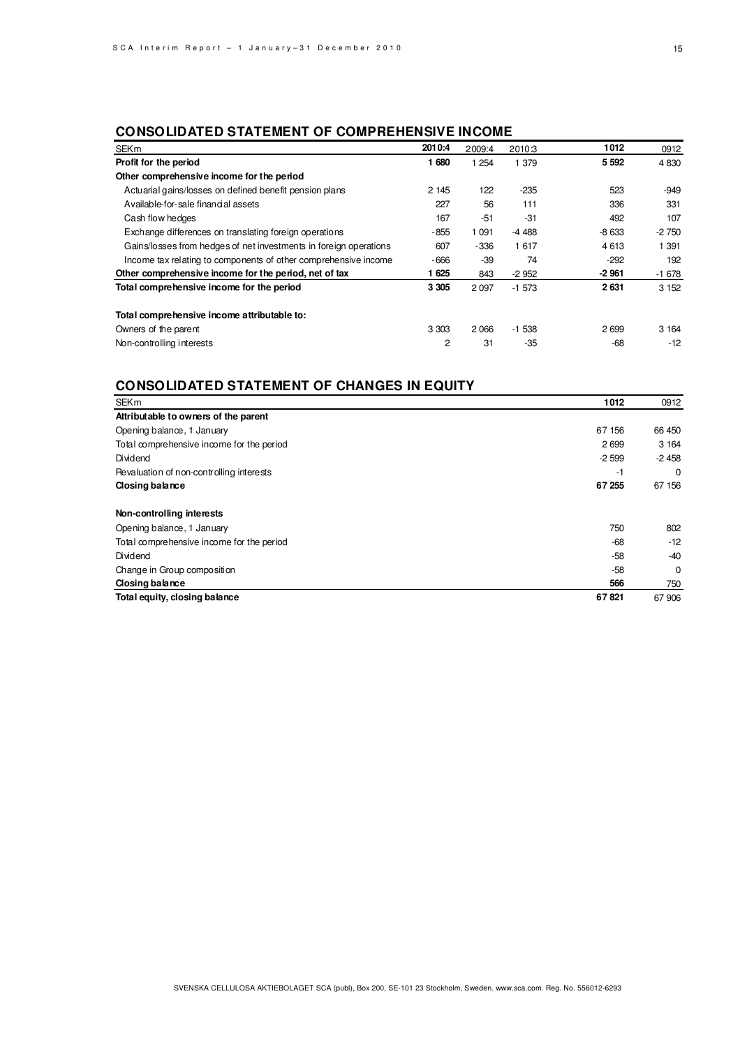### **CONSOLIDATED STATEMENT OF COMPREHENSIVE INCOME**

| <b>SEKm</b>                                                       | 2010:4  | 2009:4  | 2010:3  | 1012    | 0912    |
|-------------------------------------------------------------------|---------|---------|---------|---------|---------|
| Profit for the period                                             | 1680    | 1 2 5 4 | 1 379   | 5 5 9 2 | 4 8 30  |
| Other comprehensive income for the period                         |         |         |         |         |         |
| Actuarial gains/losses on defined benefit pension plans           | 2 1 4 5 | 122     | $-235$  | 523     | $-949$  |
| Available-for-sale financial assets                               | 227     | 56      | 111     | 336     | 331     |
| Cash flow hedges                                                  | 167     | $-51$   | $-31$   | 492     | 107     |
| Exchange differences on translating foreign operations            | $-855$  | 1 0 9 1 | $-4488$ | $-8633$ | $-2750$ |
| Gains/losses from hedges of net investments in foreign operations | 607     | $-336$  | 1617    | 4613    | 1 391   |
| Income tax relating to components of other comprehensive income   | $-666$  | $-39$   | 74      | $-292$  | 192     |
| Other comprehensive income for the period, net of tax             | 1625    | 843     | $-2952$ | $-2961$ | $-1678$ |
| Total comprehensive income for the period                         | 3 3 0 5 | 2 0 9 7 | $-1573$ | 2631    | 3 1 5 2 |
| Total comprehensive income attributable to:                       |         |         |         |         |         |
| Owners of the parent                                              | 3 3 0 3 | 2 0 6 6 | $-1538$ | 2699    | 3 1 6 4 |
| Non-controlling interests                                         | 2       | 31      | $-35$   | $-68$   | $-12$   |

### **CONSOLIDATED STATEMENT OF CHANGES IN EQUITY**

| <b>SEKm</b>                               | 1012    | 0912     |
|-------------------------------------------|---------|----------|
| Attributable to owners of the parent      |         |          |
| Opening balance, 1 January                | 67 156  | 66 450   |
| Total comprehensive income for the period | 2699    | 3 1 6 4  |
| Dividend                                  | $-2599$ | $-2458$  |
| Revaluation of non-controlling interests  | -1      | $\Omega$ |
| Closing balance                           | 67 255  | 67 156   |
| Non-controlling interests                 |         |          |
| Opening balance, 1 January                | 750     | 802      |
| Total comprehensive income for the period | $-68$   | $-12$    |
| Dividend                                  | $-58$   | $-40$    |
| Change in Group composition               | $-58$   | 0        |
| Closing balance                           | 566     | 750      |
| Total equity, closing balance             | 67821   | 67 906   |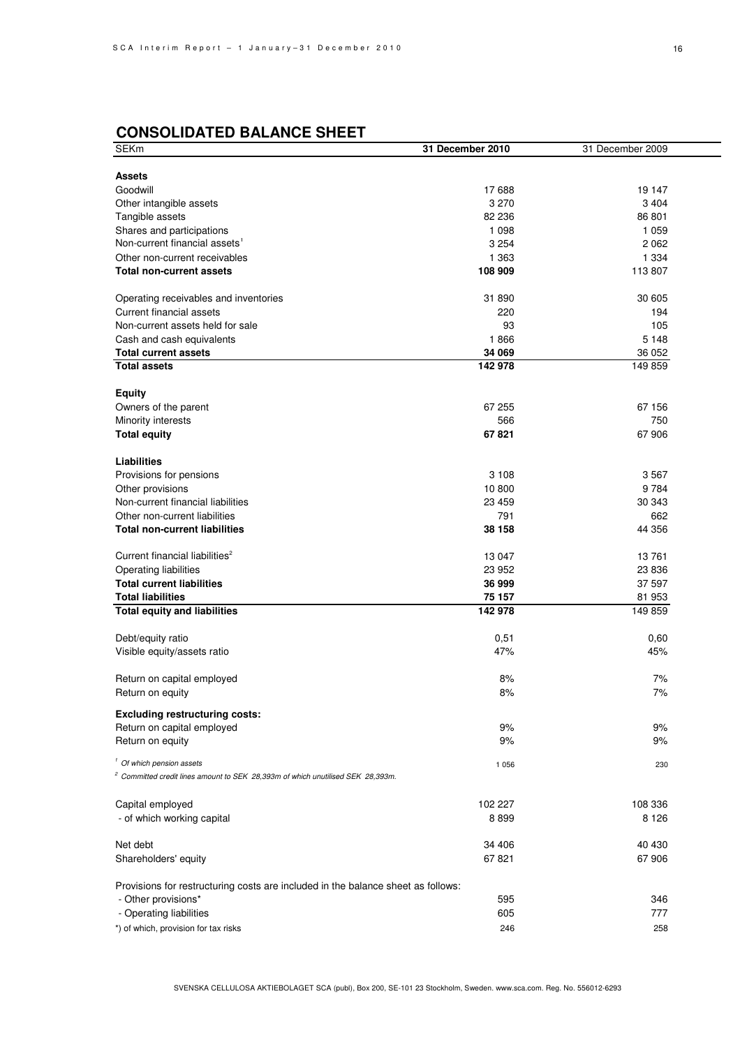# **CONSOLIDATED BALANCE SHEET**

| SEKm                                                                                       | <b>31 December 2010</b> | 31 December 2009 |
|--------------------------------------------------------------------------------------------|-------------------------|------------------|
|                                                                                            |                         |                  |
| <b>Assets</b>                                                                              |                         |                  |
| Goodwill                                                                                   | 17 688                  | 19 147           |
| Other intangible assets                                                                    | 3 2 7 0                 | 3 4 0 4          |
| Tangible assets                                                                            | 82 236                  | 86 801           |
| Shares and participations                                                                  | 1 0 9 8                 | 1 0 5 9          |
| Non-current financial assets <sup>1</sup>                                                  | 3 2 5 4                 | 2 0 6 2          |
| Other non-current receivables                                                              | 1 3 6 3                 | 1 3 3 4          |
| <b>Total non-current assets</b>                                                            | 108 909                 | 113 807          |
| Operating receivables and inventories                                                      | 31 890                  | 30 605           |
| Current financial assets                                                                   | 220                     | 194              |
| Non-current assets held for sale                                                           | 93                      | 105              |
| Cash and cash equivalents                                                                  | 1866                    | 5 1 4 8          |
| <b>Total current assets</b>                                                                | 34 069                  | 36 052           |
| <b>Total assets</b>                                                                        | 142 978                 | 149 859          |
| <b>Equity</b>                                                                              |                         |                  |
| Owners of the parent                                                                       | 67 255                  | 67 156           |
| Minority interests                                                                         | 566                     | 750              |
|                                                                                            | 67821                   | 67 906           |
| <b>Total equity</b>                                                                        |                         |                  |
| Liabilities                                                                                |                         |                  |
| Provisions for pensions                                                                    | 3 1 0 8                 | 3567             |
| Other provisions                                                                           | 10 800                  | 9784             |
| Non-current financial liabilities                                                          | 23 459                  | 30 343           |
| Other non-current liabilities                                                              | 791                     | 662              |
| <b>Total non-current liabilities</b>                                                       | 38 158                  | 44 356           |
| Current financial liabilities <sup>2</sup>                                                 | 13 047                  | 13761            |
| <b>Operating liabilities</b>                                                               | 23 952                  | 23 836           |
| <b>Total current liabilities</b>                                                           | 36 999                  | 37 597           |
| <b>Total liabilities</b>                                                                   | 75 157                  | 81 953           |
| <b>Total equity and liabilities</b>                                                        | 142 978                 | 149 859          |
|                                                                                            |                         |                  |
| Debt/equity ratio                                                                          | 0,51                    | 0,60             |
| Visible equity/assets ratio                                                                | 47%                     | 45%              |
| Return on capital employed                                                                 | 8%                      | 7%               |
| Return on equity                                                                           | 8%                      | 7%               |
| <b>Excluding restructuring costs:</b>                                                      |                         |                  |
| Return on capital employed                                                                 | 9%                      | 9%               |
| Return on equity                                                                           | 9%                      | 9%               |
| <sup>1</sup> Of which pension assets                                                       | 1 0 5 6                 | 230              |
| <sup>2</sup> Committed credit lines amount to SEK 28,393m of which unutilised SEK 28,393m. |                         |                  |
|                                                                                            |                         |                  |
| Capital employed                                                                           | 102 227                 | 108 336          |
| - of which working capital                                                                 | 8899                    | 8 1 2 6          |
| Net debt                                                                                   | 34 406                  | 40 430           |
| Shareholders' equity                                                                       | 67821                   | 67 906           |
| Provisions for restructuring costs are included in the balance sheet as follows:           |                         |                  |
| - Other provisions*                                                                        | 595                     | 346              |
| - Operating liabilities                                                                    | 605                     | 777              |
|                                                                                            |                         |                  |
| *) of which, provision for tax risks                                                       | 246                     | 258              |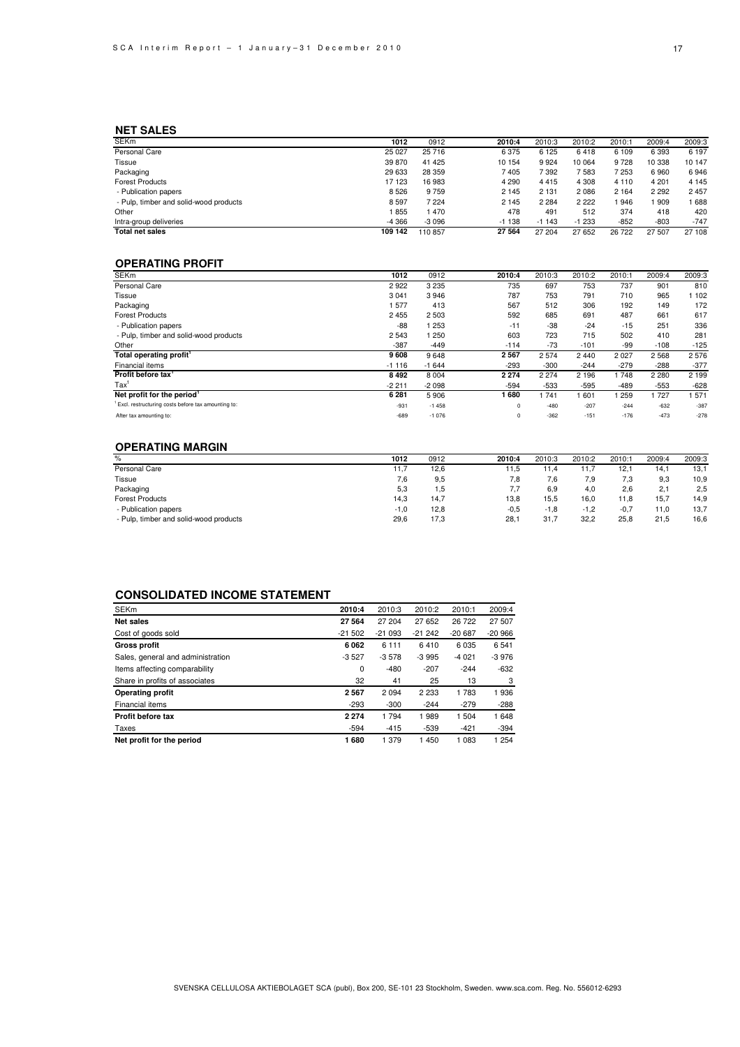### **NET SALES**

| <b>SEKm</b>                            | 1012    | 0912    | 2010:4  | 2010:3  | 2010:2  | 2010:1  | 2009:4  | 2009:3  |
|----------------------------------------|---------|---------|---------|---------|---------|---------|---------|---------|
| Personal Care                          | 25 0 27 | 25 716  | 6375    | 6 1 2 5 | 6418    | 6 1 0 9 | 6 3 9 3 | 6 197   |
| Tissue                                 | 39 870  | 41 4 25 | 10 154  | 9924    | 10 064  | 9728    | 10 338  | 10 147  |
| Packaging                              | 29 633  | 28 359  | 7405    | 7 392   | 7583    | 7 253   | 6960    | 6946    |
| <b>Forest Products</b>                 | 17 123  | 16 983  | 4 2 9 0 | 4415    | 4 3 0 8 | 4 1 1 0 | 4 201   | 4 1 4 5 |
| - Publication papers                   | 8526    | 9759    | 2 1 4 5 | 2 1 3 1 | 2 0 8 6 | 2 1 6 4 | 2 2 9 2 | 2 4 5 7 |
| - Pulp, timber and solid-wood products | 8597    | 7 2 2 4 | 2 1 4 5 | 2 2 8 4 | 2 2 2 2 | 946     | 909     | 688     |
| Other                                  | 855     | 470     | 478     | 491     | 512     | 374     | 418     | 420     |
| Intra-group deliveries                 | $-4366$ | $-3096$ | $-1138$ | $-1143$ | $-1233$ | $-852$  | $-803$  | $-747$  |
| <b>Total net sales</b>                 | 109 142 | 110857  | 27 564  | 27 204  | 27 652  | 26 722  | 27 507  | 27 108  |

### **OPERATING PROFIT**

| <b>SEKm</b>                                        | 1012    | 0912    | 2010:4   | 2010:3  | 2010:2  | 2010:1 | 2009:4  | 2009:3  |
|----------------------------------------------------|---------|---------|----------|---------|---------|--------|---------|---------|
| Personal Care                                      | 2922    | 3 2 3 5 | 735      | 697     | 753     | 737    | 901     | 810     |
| Tissue                                             | 3 0 4 1 | 3946    | 787      | 753     | 791     | 710    | 965     | 1 102   |
| Packaging                                          | 577     | 413     | 567      | 512     | 306     | 192    | 149     | 172     |
| <b>Forest Products</b>                             | 2 4 5 5 | 2 5 0 3 | 592      | 685     | 691     | 487    | 661     | 617     |
| - Publication papers                               | $-88$   | 1 253   | $-11$    | $-38$   | $-24$   | $-15$  | 251     | 336     |
| - Pulp, timber and solid-wood products             | 2 5 4 3 | 1 250   | 603      | 723     | 715     | 502    | 410     | 281     |
| Other                                              | $-387$  | $-449$  | $-114$   | $-73$   | $-101$  | -99    | $-108$  | $-125$  |
| Total operating profit'                            | 9608    | 9648    | 2567     | 2574    | 2 4 4 0 | 2027   | 2 5 6 8 | 2576    |
| Financial items                                    | $-1116$ | $-1644$ | $-293$   | $-300$  | $-244$  | $-279$ | $-288$  | $-377$  |
| Profit before tax'                                 | 8492    | 8 0 0 4 | 2 2 7 4  | 2 2 7 4 | 2 1 9 6 | 748    | 2 2 8 0 | 2 1 9 9 |
| $\text{Tax}^1$                                     | $-2211$ | $-2098$ | $-594$   | $-533$  | $-595$  | -489   | $-553$  | $-628$  |
| Net profit for the period <sup>1</sup>             | 6 2 8 1 | 5906    | 1680     | 1741    | 601     | 259    | 1727    | 1571    |
| Excl. restructuring costs before tax amounting to: | $-931$  | $-1458$ | 0        | $-480$  | $-207$  | $-244$ | $-632$  | $-387$  |
| After tax amounting to:                            | $-689$  | $-1076$ | $\Omega$ | $-362$  | $-151$  | $-176$ | $-473$  | $-278$  |

### **OPERATING MARGIN**

| $\%$                                   | 1012   | 0912 | 2010:4 | 2010:3 | 2010:2 | 2010:1 | 2009:4 | 2009:3 |
|----------------------------------------|--------|------|--------|--------|--------|--------|--------|--------|
| Personal Care                          | 11,7   | 12,6 | 11,5   | 11.4   | 11.7   | 12,    | 14.1   | 13,1   |
| Tissue                                 | 7,6    | 9.5  | 7.8    | 7.6    | 7,9    | 7.3    | 9,3    | 10,9   |
| Packaging                              | 5,3    | 1,5  | 7.7    | 6.9    | 4,0    | 2.6    | 2.1    | 2,5    |
| <b>Forest Products</b>                 | 14,3   | 14.7 | 13,8   | 15.5   | 16,0   | 11.8   | 15.7   | 14,9   |
| - Publication papers                   | $-1,0$ | 12.8 | $-0,5$ | $-1.8$ | $-1,2$ | $-0.7$ | 11.0   | 13,7   |
| - Pulp, timber and solid-wood products | 29,6   | 17.3 | 28,1   | 31.7   | 32,2   | 25,8   | 21,5   | 16,6   |
|                                        |        |      |        |        |        |        |        |        |

### **CONSOLIDATED INCOME STATEMENT**

| <b>SEKm</b>                       | 2010:4   | 2010:3   | 2010:2   | 2010:1   | 2009:4   |
|-----------------------------------|----------|----------|----------|----------|----------|
| Net sales                         | 27 564   | 27 204   | 27 652   | 26 722   | 27 507   |
| Cost of goods sold                | $-21502$ | $-21093$ | $-21242$ | $-20687$ | $-20966$ |
| <b>Gross profit</b>               | 6062     | 6 1 1 1  | 6410     | 6035     | 6541     |
| Sales, general and administration | $-3527$  | $-3578$  | $-3995$  | $-4021$  | $-3976$  |
| Items affecting comparability     | 0        | $-480$   | $-207$   | $-244$   | $-632$   |
| Share in profits of associates    | 32       | 41       | 25       | 13       | 3        |
| <b>Operating profit</b>           | 2567     | 2094     | 2 2 3 3  | 1783     | 1936     |
| Financial items                   | $-293$   | $-300$   | $-244$   | $-279$   | $-288$   |
| Profit before tax                 | 2 2 7 4  | 1794     | 1989     | 1504     | 1648     |
| Taxes                             | $-594$   | $-415$   | $-539$   | $-421$   | $-394$   |
| Net profit for the period         | 1680     | 1 379    | 1 450    | 1 0 8 3  | 1 254    |